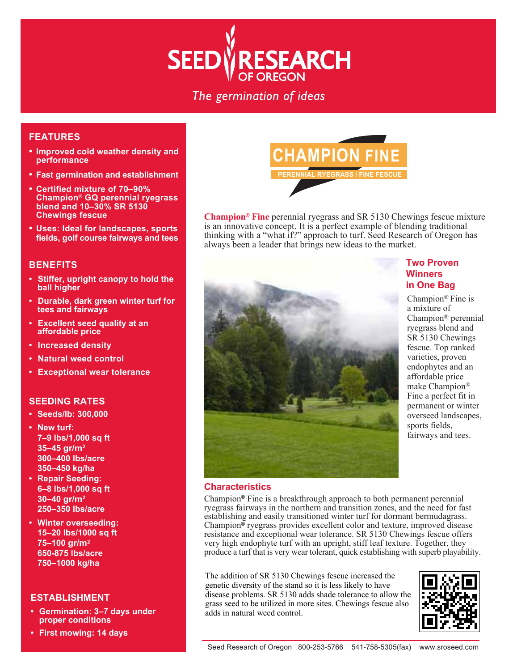

The germination of ideas

# **FEATURES**

- **• Improved cold weather density and performance**
- **• Fast germination and establishment**
- **• Certified mixture of 70–90% Champion® GQ perennial ryegrass blend and 10–30% SR 5130 Chewings fescue**
- **• Uses: Ideal for landscapes, sports fields, golf course fairways and tees**

#### **BENEFITS**

- **Stiffer, upright canopy to hold the ball higher**
- **• Durable, dark green winter turf for tees and fairways**
- **• Excellent seed quality at an affordable price**
- **• Increased density**
- **• Natural weed control**
- **• Exceptional wear tolerance**

### **SEEDING RATES**

- **• Seeds/lb: 300,000**
- **• New turf: 7–9 lbs/1,000 sq ft 35–45 gr/m2 300–400 lbs/acre 350–450 kg/ha**
- **• Repair Seeding: 6–8 lbs/1,000 sq ft 30–40 gr/m2 250–350 lbs/acre**
- **Winter overseeding: 15–20 lbs/1000 sq ft 75–100 gr/m2 650-875 lbs/acre 750–1000 kg/ha**

## **ESTABLISHMENT**

- **• Germination: 3–7 days under proper conditions**
- **First mowing: 14 days**



**Champion® Fine** perennial ryegrass and SR 5130 Chewings fescue mixture is an innovative concept. It is a perfect example of blending traditional thinking with a "what if?" approach to turf. Seed Research of Oregon has always been a leader that brings new ideas to the market.



## **Two Proven Winners in One Bag**

Champion® Fine is a mixture of Champion® perennial ryegrass blend and SR 5130 Chewings fescue. Top ranked varieties, proven endophytes and an affordable price make Champion® Fine a perfect fit in permanent or winter overseed landscapes, sports fields, fairways and tees.

#### **Characteristics**

Champion**®** Fine is a breakthrough approach to both permanent perennial ryegrass fairways in the northern and transition zones, and the need for fast establishing and easily transitioned winter turf for dormant bermudagrass. Champion**®** ryegrass provides excellent color and texture, improved disease resistance and exceptional wear tolerance. SR 5130 Chewings fescue offers very high endophyte turf with an upright, stiff leaf texture. Together, they produce a turf that is very wear tolerant, quick establishing with superb playability.

The addition of SR 5130 Chewings fescue increased the genetic diversity of the stand so it is less likely to have disease problems. SR 5130 adds shade tolerance to allow the grass seed to be utilized in more sites. Chewings fescue also adds in natural weed control.